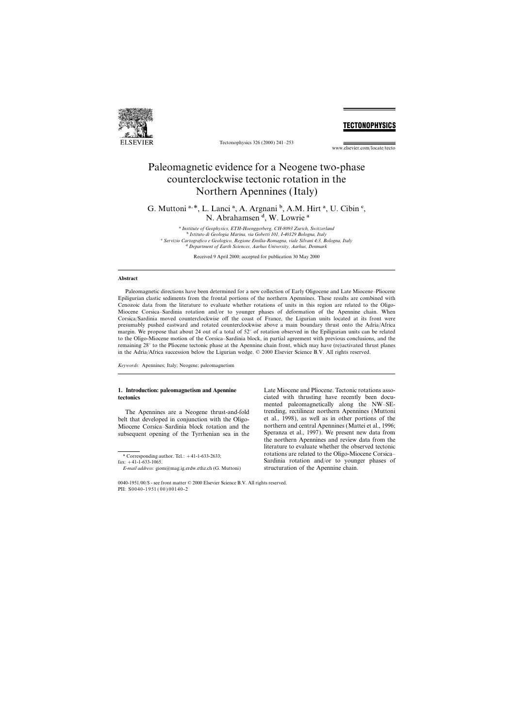

Tectonophysics 326 (2000) 241–253

## **TECTONOPHYSICS**

www.elsevier.com/locate/tecto

# Paleomagnetic evidence for a Neogene two-phase counterclockwise tectonic rotation in the Northern Apennines (Italy)

G. Muttoni<sup>a, \*</sup>, L. Lanci<sup>a</sup>, A. Argnani<sup>b</sup>, A.M. Hirt<sup>a</sup>, U. Cibin<sup>c</sup>, N. Abrahamsen<sup>d</sup>, W. Lowrie<sup>a</sup>

a *Institute of Geophysics, ETH-Hoenggerberg, CH-8093 Zurich, Switzerland* b *Istituto di Geologia Marina, via Gobetti 101, I-40129 Bologna, Italy* c *Servizio Cartografico e Geologico, Regione Emilia-Romagna, viale Silvani 4*/*3, Bologna, Italy* d *Department of Earth Sciences, Aarhus University, Aarhus, Denmark*

Received 9 April 2000; accepted for publication 30 May 2000

### **Abstract**

Paleomagnetic directions have been determined for a new collection of Early Oligocene and Late Miocene–Pliocene Epiligurian clastic sediments from the frontal portions of the northern Apennines. These results are combined with Cenozoic data from the literature to evaluate whether rotations of units in this region are related to the Oligo-Miocene Corsica–Sardinia rotation and/or to younger phases of deformation of the Apennine chain. When Corsica/Sardinia moved counterclockwise off the coast of France, the Ligurian units located at its front were presumably pushed eastward and rotated counterclockwise above a main boundary thrust onto the Adria/Africa margin. We propose that about 24 out of a total of 52° of rotation observed in the Epiligurian units can be related to the Oligo-Miocene motion of the Corsica–Sardinia block, in partial agreement with previous conclusions, and the remaining 28° to the Pliocene tectonic phase at the Apennine chain front, which may have (re)activated thrust planes in the Adria/Africa succession below the Ligurian wedge. © 2000 Elsevier Science B.V. All rights reserved.

*Keywords:* Apennines; Italy; Neogene; paleomagnetism

subsequent opening of the Tyrrhenian sea in the

**1. Introduction: paleomagnetism and Apennine** Late Miocene and Pliocene. Tectonic rotations asso**tectonics** ciated with thrusting have recently been documented paleomagnetically along the NW–SE-The Apennines are a Neogene thrust-and-fold trending, rectilinear northern Apennines (Muttoni<br>It that developed in conjunction with the Oligo-<br>et al., 1998), as well as in other portions of the belt that developed in conjunction with the Oligo- et al., 1998), as well as in other portions of the Miocene Corsica–Sardinia block rotation and the northern and central Apennines (Mattei et al., 1996; Miocene Corsica–Sardinia block rotation and the northern and central Apennines (Mattei et al., 1996;<br>subsequent opening of the Tyrrhenian sea in the Speranza et al., 1997). We present new data from the northern Apennines and review data from the literature to evaluate whether the observed tectonic \* Corresponding author. Tel.: +41-1-633-2633;<br>
fax: +41-1-633-1065. Sardinia rotation and/or to younger phases of Sardinia rotation and/or to younger phases of structuration of the Apennine chain.

*E-mail address:* giom@mag.ig.erdw.ethz.ch (G. Muttoni)

<sup>0040-1951</sup>/00/\$ - see front matter © 2000 Elsevier Science B.V. All rights reserved. PII: S0040-1951(00)00140-2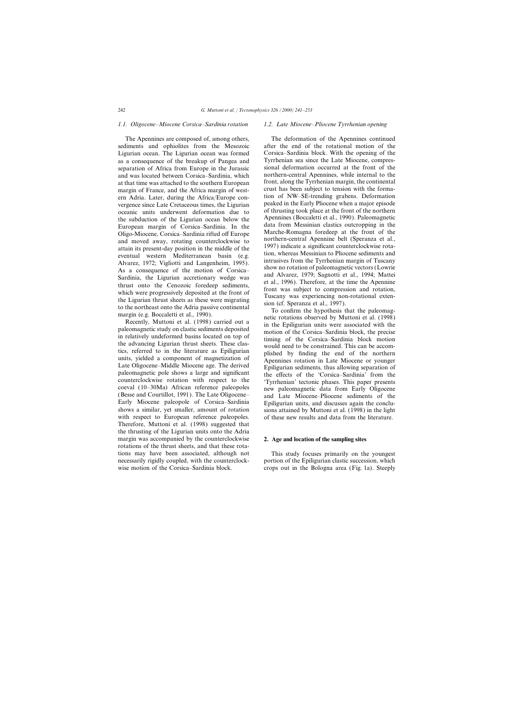### *1.1. Oligocene–Miocene Corsica–Sardinia rotation 1.2. Late Miocene–Pliocene Tyrrhenian opening*

sediments and ophiolites from the Mesozoic after the end of the rotational motion of the Ligurian ocean. The Ligurian ocean was formed Corsica–Sardinia block. With the opening of the Ligurian ocean. The Ligurian ocean was formed Corsica–Sardinia block. With the opening of the sa a consequence of the breakup of Pangea and Tyrrhenian sea since the Late Miocene, compresas a consequence of the breakup of Pangea and Tyrrhenian sea since the Late Miocene, compres-<br>separation of Africa from Europe in the Jurassic sional deformation occurred at the front of the separation of Africa from Europe in the Jurassic sional deformation occurred at the front of the and was located between Corsica–Sardinia, which northern-central Apennines, while internal to the and was located between Corsica–Sardinia, which northern-central Apennines, while internal to the at that time was attached to the southern European front, along the Tyrrhenian margin, the continental at that time was attached to the southern European front, along the Tyrrhenian margin, the continental<br>margin of France, and the Africa margin of west-crust has been subject to tension with the formamargin of France, and the Africa margin of west-<br>
ern Adria Later, during the Africa/Europe con-<br>
tion of NW-SE-trending grabens. Deformation ern Adria. Later, during the Africa/Europe con-<br>vergence since Late Cretaceous times the Liqurian peaked in the Early Pliocene when a major episode vergence since Late Cretaceous times, the Ligurian peaked in the Early Phocene when a major episode<br>oceanic units underwant deformation due to of thrusting took place at the front of the northern oceanic units underwent deformation due to of thrusting took place at the front of the northern<br>the subduction of the Liqurian ocean below the Apennines (Boccaletti et al., 1990). Paleomagnetic the subduction of the Ligurian ocean below the Apennines (Boccaletti et al., 1990). Paleomagnetic the subduction of Corsica Sardinia In the data from Messinian clastics outcropping in the European margin of Corsica–Sardinia. In the data from Messinian clastics outcropping in the Corsica Sardinia rifted off Europe Marche-Romagna foredeep at the front of the Oligo-Miocene, Corsica-Sardinia rifted off Europe<br>
and moved away, rotating counterclockwise to<br>
and moved away, rotating counterclockwise to<br>
and moved away, rotating counterclockwise to<br>
are intrusives a legalificant cou

the advancing Ligurian thrust sneets. These clas-<br>tics, referred to in the literature as Epiligurian<br>units, yielded a component of magnetization of<br>Late Oligocene–Middle Miocene age. The derived<br>paleomagnetic pole shows a counterclockwise rotation with respect to the 'Tyrrhenian' tectonic phases. This paper presents coeval (10–30Ma) African reference paleopoles new paleomagnetic data from Early Oligocene (Besse and Courtillot, 1991). The La (Besse and Courtillot, 1991). The Late Oligocene– and Late Miocene–Pliocene sediments of the Early Miocene paleopole of Corsica–Sardinia Epiligurian units, and discusses again the conclusions a similar, yet smaller, amount of rotation sions attained by Muttoni et al. (1998) in the light with respect to European reference paleopoles. of these new results and data from the literature. Therefore, Muttoni et al. (1998) suggested that the thrusting of the Ligurian units onto the Adria margin was accompanied by the counterclockwise **2. Age and location of the sampling sites** rotations of the thrust sheets, and that these rotations may have been associated, although not This study focuses primarily on the youngest necessarily rigidly coupled, with the counterclock-<br>wise motion of the Corsica–Sardinia block.<br>crops out in the Bologna area (Fig. 1a). Steeply

The Apennines are composed of, among others, The deformation of the Apennines continued<br>liments and ophiolites from the Mesozoic after the end of the rotational motion of the

sions attained by Muttoni et al. (1998) in the light

crops out in the Bologna area (Fig. 1a). Steeply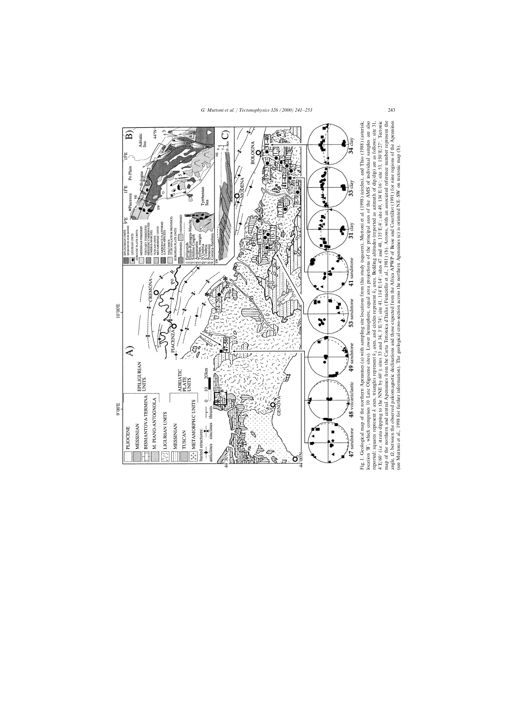

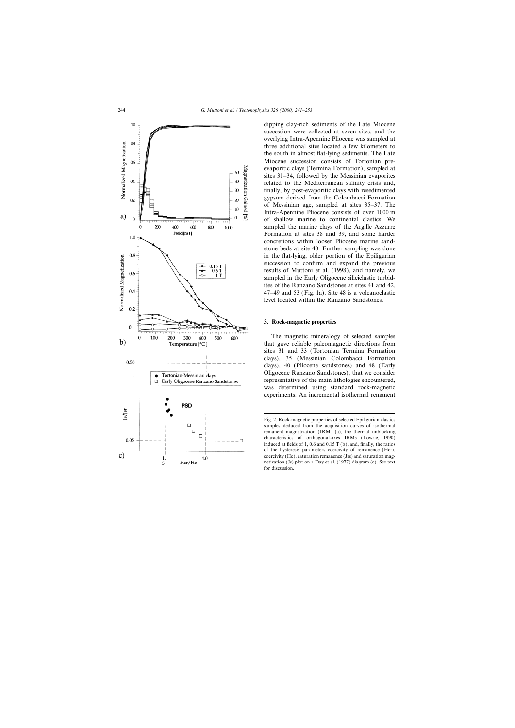

dipping clay-rich sediments of the Late Miocene succession were collected at seven sites, and the overlying Intra-Apennine Pliocene was sampled at three additional sites located a few kilometers to the south in almost flat-lying sediments. The Late Miocene succession consists of Tortonian preevaporitic clays (Termina Formation), sampled at sites 31–34, followed by the Messinian evaporites related to the Mediterranean salinity crisis and, finally, by post-evaporitic clays with resedimented gypsum derived from the Colombacci Formation of Messinian age, sampled at sites 35–37. The Intra-Apennine Pliocene consists of over 1000 m of shallow marine to continental clastics. We sampled the marine clays of the Argille Azzurre Formation at sites 38 and 39, and some harder concretions within looser Pliocene marine sandstone beds at site 40. Further sampling was done in the flat-lying, older portion of the Epiligurian succession to confirm and expand the previous results of Muttoni et al. (1998), and namely, we sampled in the Early Oligocene siliciclastic turbidites of the Ranzano Sandstones at sites 41 and 42, 47–49 and 53 (Fig. 1a). Site 48 is a volcanoclastic level located within the Ranzano Sandstones.

### **3. Rock-magnetic properties**

The magnetic mineralogy of selected samples that gave reliable paleomagnetic directions from sites 31 and 33 (Tortonian Termina Formation clays), 35 (Messinian Colombacci Formation clays), 40 (Pliocene sandstones) and 48 (Early Oligocene Ranzano Sandstones), that we consider representative of the main lithologies encountered, was determined using standard rock-magnetic experiments. An incremental isothermal remanent

Fig. 2. Rock-magnetic properties of selected Epiligurian clastics samples deduced from the acquisition curves of isothermal remanent magnetization (IRM) (a), the thermal unblocking characteristics of orthogonal-axes IRMs (Lowrie, 1990) induced at fields of 1, 0.6 and 0.15 T (b), and, finally, the ratios of the hysteresis parameters coercivity of remanence (Hcr), coercivity (Hc), saturation remanence (Jrs) and saturation magnetization (Js) plot on a Day et al. (1977) diagram (c). See text for discussion.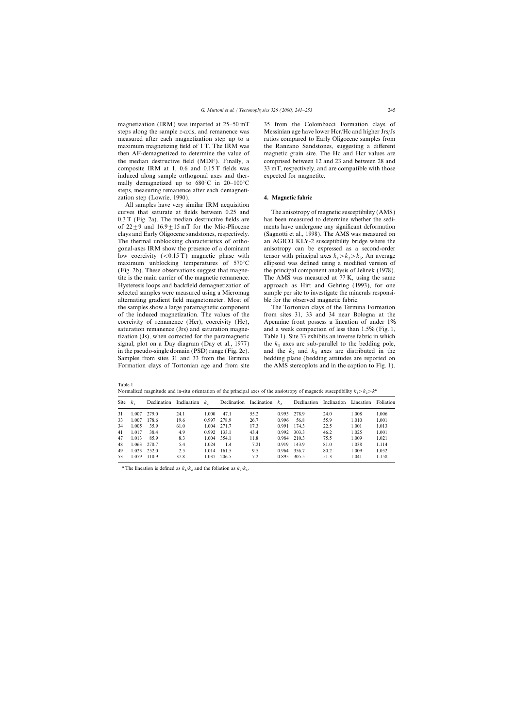magnetization (IRM) was imparted at 25–50 mT 35 from the Colombacci Formation clays of induced along sample orthogonal axes and ther- expected for magnetite. mally demagnetized up to 680°C in 20–100°C steps, measuring remanence after each demagnetization step (Lowrie, 1990). **4. Magnetic fabric**

All samples have very similar IRM acquisition curves that saturate at fields between 0.25 and The anisotropy of magnetic susceptibility (AMS) 0.3 T (Fig. 2a). The median destructive fields are has been measured to determine whether the sediof  $22 \pm 9$  and  $16.9 \pm 15$  mT for the Mio-Pliocene ments have undergone any significant deformation clays and Early Oligocene sandstones, respectively. (Sagnotti et al., 1998). The AMS was measured on The thermal unblocking characteristics of ortho- an AGICO KLY-2 susceptibility bridge where the gonal-axes IRM show the presence of a dominant anisotropy can be expressed as a second-order low coercivity (<0.15 T) magnetic phase with maximum unblocking temperatures of  $570^{\circ}$ C (Fig. 2b). These observations suggest that magne- the principal component analysis of Jelinek (1978). tite is the main carrier of the magnetic remanence. The AMS was measured at 77 K, using the same Hysteresis loops and backfield demagnetization of approach as Hirt and Gehring (1993), for one selected samples were measured using a Micromag sample per site to investigate the minerals responsialternating gradient field magnetometer. Most of ble for the observed magnetic fabric. the samples show a large paramagnetic component The Tortonian clays of the Termina Formation of the induced magnetization. The values of the from sites 31, 33 and 34 near Bologna at the coercivity of remanence (Hcr), coercivity (Hc), Apennine front possess a lineation of under  $1\%$ saturation remanence (Jrs) and saturation magne- and a weak compaction of less than 1.5% (Fig. 1, tization (Js), when corrected for the paramagnetic Table 1). Site 33 exhibits an inverse fabric in which signal, plot on a Day diagram (Day et al., 1977) in the pseudo-single domain (PSD) range (Fig. 2c). and the  $k_2$  and  $k_3$  axes are distributed in the **Samulas from sites** 21 and 22 from the Termine. hadding plane (hadding attitudes are monoted an Samples from sites 31 and 33 from the Termina bedding plane (bedding attitudes are reported on Formation clays of Tortonian age and from site the AMS stereoplots and in the caption to Fig. 1).

steps along the sample *z*-axis, and remanence was Messinian age have lower Hcr/Hc and higher Jrs/Js measured after each magnetization step up to a ratios compared to Early Oligocene samples from maximum magnetizing field of 1 T. The IRM was the Ranzano Sandstones, suggesting a different then AF-demagnetized to determine the value of magnetic grain size. The Hc and Hcr values are the median destructive field (MDF). Finally, a comprised between 12 and 23 and between 28 and composite IRM at 1, 0.6 and 0.15 T fields was 33 mT, respectively, and are compatible with those

 $1 - \frac{n_2}{2} - \frac{n_3}{3}$  $> k_2 > k_3$ . An average

the  $k_1$  axes are sub-parallel to the bedding pole,

| Table 1 |                                                                                                                                   |
|---------|-----------------------------------------------------------------------------------------------------------------------------------|
|         | Normalized magnitude and in-situ orientation of the principal axes of the ansiotropy of magnetic susceptibility $k_1 > k_2 > k^a$ |

| Site $k_1$ |                |                |      |             |                    |      |             | Declination Inclination $k_2$ Declination Inclination $k_3$ Declination Inclination Lineation Foliation |      |       |       |
|------------|----------------|----------------|------|-------------|--------------------|------|-------------|---------------------------------------------------------------------------------------------------------|------|-------|-------|
|            | 31 1.007 279.0 |                | 24.1 |             | $1.000 \quad 47.1$ | 55.2 |             | 0.993 278.9                                                                                             | 24.0 | 1.008 | 1.006 |
|            |                | 33 1.007 178.6 | 19.6 | 0.997 278.9 |                    | 26.7 |             | 0.996 56.8                                                                                              | 55.9 | 1.010 | 1.001 |
|            | 34 1.005 35.9  |                | 61.0 | 1.004 271.7 |                    | 17.3 |             | 0.991 174.3                                                                                             | 22.5 | 1.001 | 1.013 |
|            | 41 1.017 38.4  |                | 4.9  | 0.992 133.1 |                    | 43.4 | 0.992 303.3 |                                                                                                         | 46.2 | 1.025 | 1.001 |
|            | 47 1.013 85.9  |                | 8.3  | 1.004 354.1 |                    | 11.8 |             | 0.984 210.3                                                                                             | 75.5 | 1.009 | 1.021 |
|            | 48 1.063 270.7 |                | 5.4  |             | $1.024$ 1.4        | 7.21 | 0.919 143.9 |                                                                                                         | 81.0 | 1.038 | 1.114 |
|            | 49 1.023 252.0 |                | 2.5  | 1.014 161.5 |                    | 9.5  |             | 0.964 356.7                                                                                             | 80.2 | 1.009 | 1.052 |
|            | 53 1.079 110.9 |                | 37.8 | 1.037 206.5 |                    | 7.2  |             | 0.895 305.5                                                                                             | 51.3 | 1.041 | 1.158 |

<sup>a</sup> The lineation is defined as  $k_1/k_2$  and the foliation as  $k_2/k_3$ .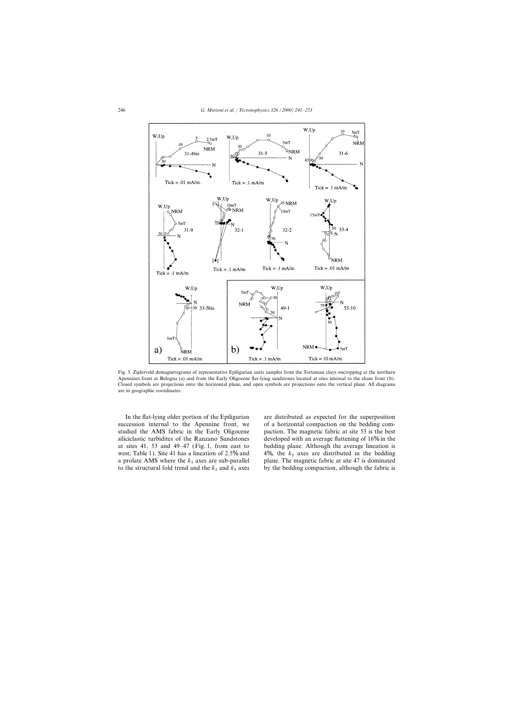

Fig. 3. Zijderveld demagnetograms of representative Epiligurian units samples from the Tortonian clays oucropping at the northern Apennines front at Bologna (a) and from the Early Oligocene flat-lying sandstones located at sites internal to the chain front (b). Closed symbols are projections onto the horizontal plane, and open symbols are projections onto the vertical plane. All diagrams are in geographic coordinates.

In the flat-lying older portion of the Epiligurian are distributed as expected for the superposition a prolate AMS where the  $k_1$  axes are sub-parallel to the structural fold trend and the  $k_2$  and  $k_3$  axes

succession internal to the Apennine front, we of a horizontal compaction on the bedding comstudied the AMS fabric in the Early Oligocene paction. The magnetic fabric at site 53 is the best siliciclastic turbidites of the Ranzano Sandstones developed with an average flattening of 16% in the at sites 41, 53 and 49–47 (Fig. 1, from east to bedding plane. Although the average lineation is west; Table 1). Site 41 has a lineation of 2.5% and  $\frac{4\%}{2}$ , the  $k_1$  axes are distributed in the bedding plane. The magnetic fabric at site 47 is dominated by the bedding compaction, although the fabric is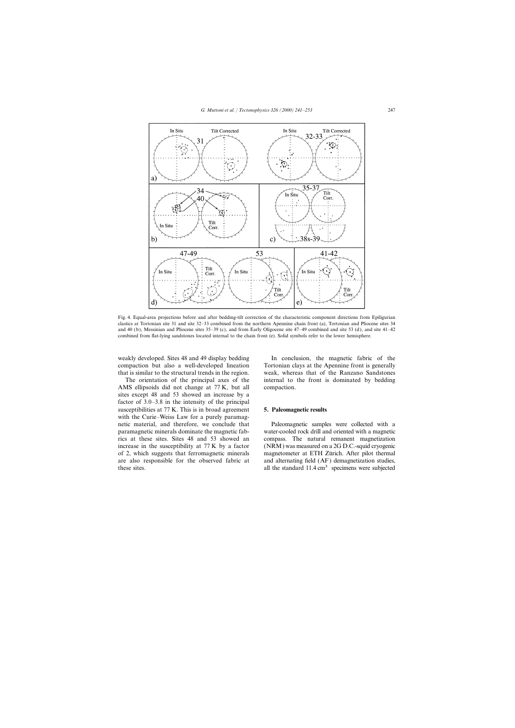

Fig. 4. Equal-area projections before and after bedding-tilt correction of the characteristic component directions from Epiligurian clastics at Tortonian site 31 and site 32–33 combined from the northern Apennine chain front (a), Tortonian and Pliocene sites 34 and 40 (b), Messinian and Pliocene sites 35–39 (c), and from Early Oligocene site 47–49 combined and site 53 (d), and site 41–42 combined from flat-lying sandstones located internal to the chain front (e). Solid symbols refer to the lower hemisphere.

weakly developed. Sites 48 and 49 display bedding In conclusion, the magnetic fabric of the

AMS ellipsoids did not change at 77 K, but all compaction. sites except 48 and 53 showed an increase by a factor of 3.0–3.8 in the intensity of the principal susceptibilities at 77 K. This is in broad agreement **5. Paleomagnetic results** with the Curie–Weiss Law for a purely paramagnetic material, and therefore, we conclude that Paleomagnetic samples were collected with a

compaction but also a well-developed lineation Tortonian clays at the Apennine front is generally that is similar to the structural trends in the region. weak, whereas that of the Ranzano Sandstones The orientation of the principal axes of the internal to the front is dominated by bedding

paramagnetic minerals dominate the magnetic fab-<br>
rics at these sites. Sites 48 and 53 showed an compass. The natural remanent magnetization compass. The natural remanent magnetization increase in the susceptibility at 77 K by a factor (NRM) was measured on a 2G D.C.-squid cryogenic of 2, which suggests that ferromagnetic minerals magnetometer at ETH Zürich. After pilot thermal are also responsible for the observed fabric at and alternating field (AF) demagnetization studies, these sites. all the standard 11.4 cm<sup>3</sup> specimens were subjected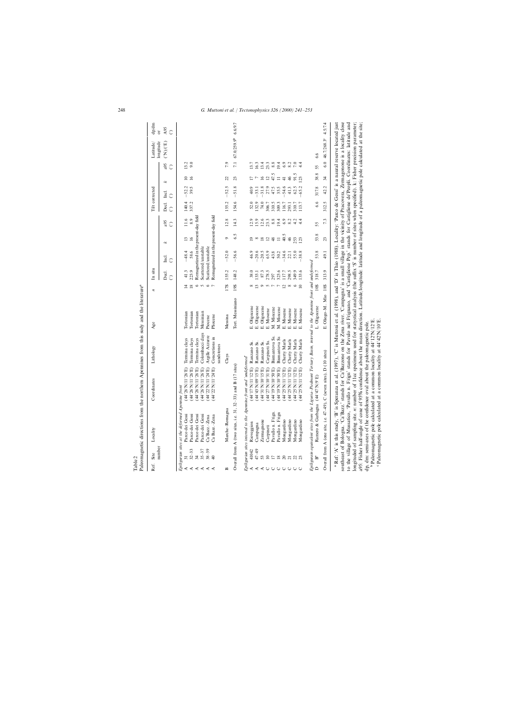| number<br>Site<br>Ref.    | Locality                                                                                                                                                                                                                                                                                                                                                                                                                                                                                                                                                                                                                                                                                                                               | Coordinates                                                                      | Lithology                        | Age                        | z                         | In situ            |                                                             |                 |                  | Tilt corrected     |                    |                 | longitude<br>Latitude/                                      | dp/dm<br>$\sigma$ |
|---------------------------|----------------------------------------------------------------------------------------------------------------------------------------------------------------------------------------------------------------------------------------------------------------------------------------------------------------------------------------------------------------------------------------------------------------------------------------------------------------------------------------------------------------------------------------------------------------------------------------------------------------------------------------------------------------------------------------------------------------------------------------|----------------------------------------------------------------------------------|----------------------------------|----------------------------|---------------------------|--------------------|-------------------------------------------------------------|-----------------|------------------|--------------------|--------------------|-----------------|-------------------------------------------------------------|-------------------|
|                           |                                                                                                                                                                                                                                                                                                                                                                                                                                                                                                                                                                                                                                                                                                                                        |                                                                                  |                                  |                            |                           | Decl.<br>$\hat{C}$ | Incl.<br>ි                                                  | x               | a95<br>$\hat{C}$ | Decl.<br>$\hat{C}$ | Incl.<br>$\hat{C}$ | x               | $({}^{\circ}N)({}^{\circ}E)$<br>a95<br>$\hat{C}$            | A95<br>$\hat{C}$  |
|                           | Epiligurian sites at the deformed Apennine<br>Parco dei Gessi                                                                                                                                                                                                                                                                                                                                                                                                                                                                                                                                                                                                                                                                          | 26'N/11°26'E)<br>front<br>र्वे                                                   | Termina clays                    | Tortonian                  |                           | 41.3               | $-48.4$                                                     | $\mathbf{1}$    | 11.6             | 140.4              | $-52.2$            | $\approx$       | 13.2                                                        |                   |
| $32 - 33$<br>$\prec$      | Parco dei Gessi                                                                                                                                                                                                                                                                                                                                                                                                                                                                                                                                                                                                                                                                                                                        | 26'N/11°26'E)<br>र्वे                                                            | Termina clays                    | Tortonian                  | $\frac{8}{18}$            | 223.9              | 58.6                                                        | $\overline{16}$ | 8.9              | 337.2              | 39.5               | $\overline{16}$ | 9.0                                                         |                   |
| $35 - 37$<br>34<br>≺<br>≺ | Parco dei Gessi<br>Parco dei Gessi                                                                                                                                                                                                                                                                                                                                                                                                                                                                                                                                                                                                                                                                                                     | $(44^{\circ}26^{\circ}N/11^{\circ}26^{\circ}E)$<br>$26$ N/11°26'E)<br>$\ddot{4}$ | Colombacci days<br>Termina clays | Messinian<br>Tortonian     | $\circ$<br>$\sim$         |                    | Remagnetized in the present-day field<br>Scattered/unstable |                 |                  |                    |                    |                 |                                                             |                   |
| $38 - 39$<br>⋖            | Ca'Bazz.-Zena                                                                                                                                                                                                                                                                                                                                                                                                                                                                                                                                                                                                                                                                                                                          | $22'$ N/11°24'E)<br>$\overline{4}$                                               | Argille Azzurre                  | Piocene                    | $\circ$                   |                    | Scattered/unstable                                          |                 |                  |                    |                    |                 |                                                             |                   |
|                           | Ca Bazz.-Zena                                                                                                                                                                                                                                                                                                                                                                                                                                                                                                                                                                                                                                                                                                                          | 22'N/11°24'E)<br>$\overline{4}$                                                  | Concretions in<br>sandstones     | Pliocene                   |                           |                    | Remagnetized in the present-day field                       |                 |                  |                    |                    |                 |                                                             |                   |
| ≃                         | Marche-Romagna                                                                                                                                                                                                                                                                                                                                                                                                                                                                                                                                                                                                                                                                                                                         |                                                                                  | Clays                            | Messina                    | 17S                       | 155.2              | $-52.0$                                                     | ٥               | 12.8             | 155.2              | $-52.5$            | 22              | 7.9                                                         |                   |
|                           | Overall from A (two sites, i.e. $31, 32-33$ )                                                                                                                                                                                                                                                                                                                                                                                                                                                                                                                                                                                                                                                                                          | and B (17 sites)                                                                 |                                  | Tort. Messiniano           | <b>S61</b>                | 148.2              | 56.6<br>$\overline{1}$                                      | 6.5             | 14.3             | 154.6              | $-51.8$            | 23              | 67.0/259.9 <sup>b</sup><br>7.1                              | 6.6/9.7           |
|                           | Epiligurian sites internal to the Apennine front and 'undeformed'                                                                                                                                                                                                                                                                                                                                                                                                                                                                                                                                                                                                                                                                      |                                                                                  |                                  |                            |                           |                    |                                                             |                 |                  |                    |                    |                 |                                                             |                   |
| 41042                     | Rioveggion                                                                                                                                                                                                                                                                                                                                                                                                                                                                                                                                                                                                                                                                                                                             | '17'N/11°12'E)<br>र्वे                                                           | Ranzano Ss.                      | E. Oligocene               | $\infty$                  | 38.0               | 46.9                                                        | $\overline{0}$  | 12.9             | 52.0               | 40.9               |                 | 13.7                                                        |                   |
| $47 - 49$                 | Campagna                                                                                                                                                                                                                                                                                                                                                                                                                                                                                                                                                                                                                                                                                                                               | 43'N/09°15'E)<br>$\ddot{4}$                                                      | Ranzano Ss.                      | Oligocene<br>щ             | $\frac{13}{9}$            | 133.1              | $-20.6$                                                     | $\infty$        | 15.9             | 132.9              | $-33.1$            |                 | 16.3                                                        |                   |
| 53                        | Zermagnone                                                                                                                                                                                                                                                                                                                                                                                                                                                                                                                                                                                                                                                                                                                             | "31'N/10"15'E)<br>$\frac{4}{3}$                                                  | Ranzano Ss.                      | Oligocene<br>щi            |                           | 87.3               | $-20.5$                                                     | $\overline{18}$ | $12.6$<br>23.3   | 74.0               | 31.8               | $\frac{6}{2}$   |                                                             |                   |
| $\approx$                 | Carpineti                                                                                                                                                                                                                                                                                                                                                                                                                                                                                                                                                                                                                                                                                                                              | $27^{\circ}N/10^{\circ}31^{\circ}E$<br>$\ddot{4}$                                | Carpineti Ss.                    | Miocene<br>$\vec{E}$       | クアア                       | 278.5              | 65.9                                                        | $\overline{12}$ |                  | 306.7              | 27.9               | $\overline{12}$ | $\begin{smallmatrix} 13.4 \\ 23.3 \\ 8.8 \end{smallmatrix}$ |                   |
|                           | Pavullo n. Frign.                                                                                                                                                                                                                                                                                                                                                                                                                                                                                                                                                                                                                                                                                                                      | $(300501/\mathrm{N/s})$<br>$\ddot{4}$                                            | Bismantova Ss.                   | M. Miocene                 |                           | 297                | 43.8                                                        | 48              | 8.8              | 310.5              | 47.5               | 47.5            |                                                             |                   |
| $\overline{18}$           | Pavullo n. Frign                                                                                                                                                                                                                                                                                                                                                                                                                                                                                                                                                                                                                                                                                                                       | $(300501/\mathrm{N/s})$<br>$\ddot{4}$                                            | <b>Bismantova</b> Ss             | M. Miocene                 |                           | 323.6              | 50.2                                                        | $\equiv$        | 19.4             | 309.3              | 35.5               | $\equiv$        | 19.4                                                        |                   |
| $\overline{c}$            | Mongardino                                                                                                                                                                                                                                                                                                                                                                                                                                                                                                                                                                                                                                                                                                                             | $25^{\prime}$ N/11°12'E)<br>$\ddot{4}$                                           | Cherty Marls                     | Miocene<br>щi              | $\frac{1}{8}$             | 117.7              | 34.6                                                        | 40.5            | 6.9              | 116.7              | 54.6               | $\frac{4}{1}$   | 6.9                                                         |                   |
|                           | Mongardino                                                                                                                                                                                                                                                                                                                                                                                                                                                                                                                                                                                                                                                                                                                             | $25^{\circ}$ N/11°12'E)<br>$\tilde{A}$                                           | Cherty Marls                     | Miocene<br>$\vec{\Xi}$     |                           | 298.5              | 22.1                                                        | $\frac{4}{6}$   | 8.2              | 310.7<br>293.1     | 41.3               | $\frac{4}{6}$   | 8.2                                                         |                   |
| 22                        | Mongardino<br>Mongardino                                                                                                                                                                                                                                                                                                                                                                                                                                                                                                                                                                                                                                                                                                               | $25^{\prime}$ N/11°12'E)<br>25'N/11°12'E)<br>$\tilde{A}$<br>$\overline{4}$       | Cherty Marls<br>Cherty Marls     | Miocene<br>Miocene<br>ங்ங் | $\circ$<br>$\overline{0}$ | 133.6<br>349.9     | 55.0<br>38.8                                                | 253<br>123      | 4.2<br>4.4       | 113.7              | 62.5<br>65.2       | 91.5<br>123     | $7.0\,$                                                     |                   |
|                           | Epiligurain equivalent sites from the Liguria-Piedmont Tertiary Basin, internal to the Apemine front and undeformed                                                                                                                                                                                                                                                                                                                                                                                                                                                                                                                                                                                                                    |                                                                                  |                                  |                            |                           |                    |                                                             |                 |                  |                    |                    |                 |                                                             |                   |
| Ã<br>$\mathbf{r}$         | Ramero & Garbagna (44°                                                                                                                                                                                                                                                                                                                                                                                                                                                                                                                                                                                                                                                                                                                 | (H06/N.41                                                                        |                                  | L. Oligocene               | 10S                       | 318.7              | 53.8                                                        | 53.8            | 55               | 6.6                | 317.8              | 38.8            | 6.6<br>55                                                   |                   |
|                           | Overall from A (one site, i.e. $47-49$ ), C (seven sites), D (10 sites)                                                                                                                                                                                                                                                                                                                                                                                                                                                                                                                                                                                                                                                                |                                                                                  |                                  | E. Oliogo-M., Mio 18S      |                           | 313.9              | 49.1                                                        | 23              | 7.3              | 312.5              | 42.2               | $\frac{34}{3}$  | 46.7/268.3°<br>$\overline{6.0}$                             | 4.5/7.4           |
|                           | southeast of Bologna. 'Ca'Bazz' stands for Ca'Bazzone on the Zena river. 'Campagna' is a small village in the vicinity of Pracovera, Zermagonone is a locality close<br><sup>a</sup> Ref: 'A' is this study, 'B' is Speranza et al. (1997), 'C' is Muttoni et al. (1998), and 'D' is Thio (1988). Locality: 'Parco de Gessi' is a naural reserve located just<br>to the village of Mussatico, 'Pavullo n. Frign' stands for Pavulo nel Frignano, and 'Castiglione Pep.' stands for Castiglione de'Peopli. Coordinates: latitude and<br>$\frac{1}{2}$ of sampling site <i>n</i> ; number of $\frac{1}{2}$ loc specimens used for statistical analysis (the suffix 'S' is number of sites when specified) k. Fisher precision parameters |                                                                                  |                                  |                            |                           |                    |                                                             |                 |                  |                    |                    |                 |                                                             |                   |

Table 2

лоивишее от защитв эле. *п*. ишност от тъе урешиета изет по запузикататануза (ине заща от запишеет от знез миси зресинет). А. таки ръеказат рашнесе,<br>a95: Fisher half-angle of cone of 95% confidence about the mean directio longituded of sampling site. *n*: number of 11cc specimens used for statystical analysis (the suffix 'S' is number of sites when specified). k: Fisher precision parameter; a95: Fisher half-angle of cone of 95% confidence about the mean direction. Latitude/longitude: latitude and longitude of a paleomagnetic pole calculated at the site; dp, dm: semi-axes of the confidence oval about the paleomagnetic pole.

Paleomagnetic pole calculated at a common locality at 44°12∞N/12°E.

ن م

Paleomagnetic pole calculated at a common locality at 44°42∞N/10°E.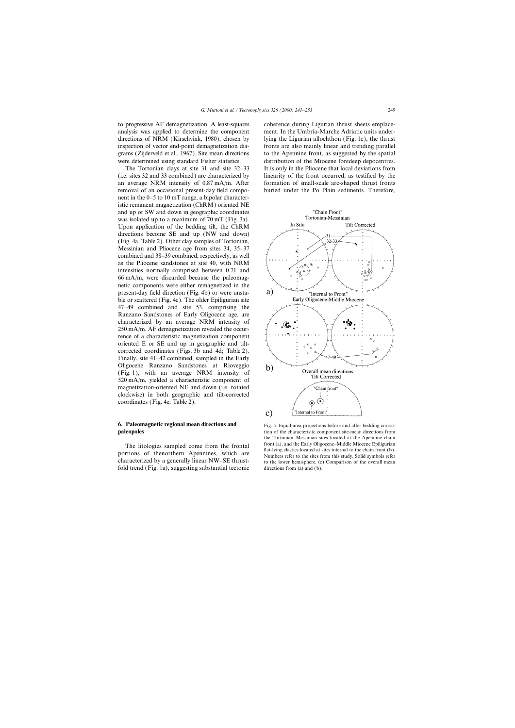analysis was applied to determine the component ment. In the Umbria-Marche Adriatic units underdirections of NRM (Kirschvink, 1980), chosen by lying the Ligurian allochthon (Fig. 1c), the thrust inspection of vector end-point demagnetization dia- fronts are also mainly linear and trending parallel grams (Zijderveld et al., 1967). Site mean directions to the Apennine front, as suggested by the spatial were determined using standard Fisher statistics. distribution of the Miocene foredeep depocentres.

(i.e. sites 32 and 33 combined) are characterized by linearity of the front occurred, as testified by the an average NRM intensity of  $0.87 \text{ mA/m}$ . After formation of small-scale arc-shaped thrust fronts removal of an occasional present-day field compo- buried under the Po Plain sediments. Therefore, nent in the 0–5 to 10 mT range, a bipolar characteristic remanent magnetization (ChRM) oriented NE and up or SW and down in geographic coordinates was isolated up to a maximum of 70 mT (Fig. 3a). Upon application of the bedding tilt, the ChRM directions become SE and up (NW and down) (Fig. 4a, Table 2). Other clay samples of Tortonian, Messinian and Pliocene age from sites 34, 35–37 combined and 38–39 combined, respectively, as well as the Pliocene sandstones at site 40, with NRM intensities normally comprised between 0.71 and 66 mA/m, were discarded because the paleomagnetic components were either remagnetized in the present-day field direction (Fig. 4b) or were unstable or scattered (Fig. 4c). The older Epiligurian site 47–49 combined and site 53, comprising the Ranzano Sandstones of Early Oligocene age, are characterized by an average NRM intensity of 250 mA/m. AF demagnetization revealed the occurrence of a characteristic magnetization component oriented E or SE and up in geographic and tiltcorrected coordinates (Figs. 3b and 4d; Table 2). Finally, site 41–42 combined, sampled in the Early Oligocene Ranzano Sandstones at Rioveggio (Fig. 1), with an average NRM intensity of 520 mA/m, yielded a characteristic component of magnetization-oriented NE and down (i.e. rotated clockwise) in both geographic and tilt-corrected coordinates (Fig. 4e, Table 2).

fold trend (Fig. 1a), suggesting substantial tectonic directions from (a) and (b).

to progressive AF demagnetization. A least-squares coherence during Ligurian thrust sheets emplace-The Tortonian clays at site 31 and site 32–33 It is only in the Pliocene that local deviations from



**6. Paleomagnetic regional mean directions and** Fig. 5. Equal-area projections before and after bedding correc-<br> **paleopoles** tion of the characteristic component site-mean directions from tion of the characteristic component site-mean directions from the Tortonian–Messinian sites located at the Apennine chain The litologies sampled come from the frontal<br>portions of the<br>northern Apennines, which are<br>characterized by a generally linear NW-SE thrust-<br>to the lower hemisphere (c) Comparison of the overall mean to the lower hemisphere. (c) Comparison of the overall mean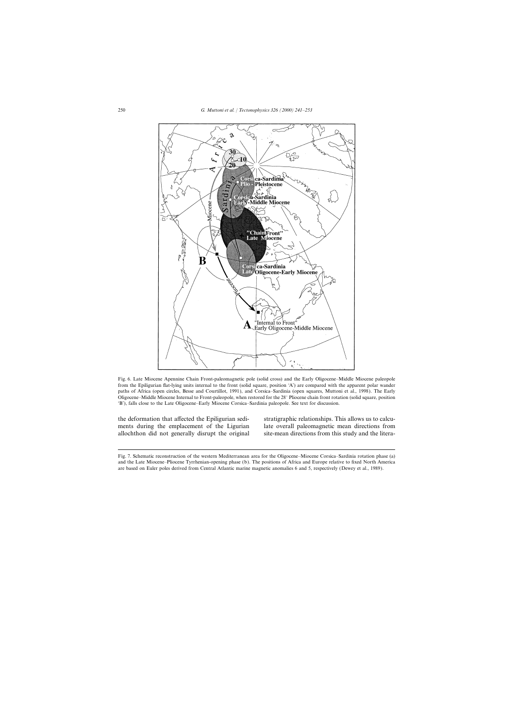

Fig. 6. Late Miocene Apennine Chain Front-paleomagnetic pole (solid cross) and the Early Oligocene–Middle Miocene paleopole from the Epiligurian flat-lying units internal to the front (solid square, position 'A') are compared with the apparent polar wander paths of Africa (open circles, Besse and Courtillot, 1991), and Corsica–Sardinia (open squares, Muttoni et al., 1998). The Early Oligocene–Middle Miocene Internal to Front-paleopole, when restored for the 28° Pliocene chain front rotation (solid square, position 'B'), falls close to the Late Oligocene–Early Miocene Corsica–Sardinia paleopole. See text for discussion.

the deformation that affected the Epiligurian sedi- stratigraphic relationships. This allows us to calcuments during the emplacement of the Ligurian late overall paleomagnetic mean directions from allochthon did not generally disrupt the original site-mean directions from this study and the litera-

Fig. 7. Schematic reconstruction of the western Mediterranean area for the Oligocene–Miocene Corsica–Sardinia rotation phase (a) and the Late Miocene–Pliocene Tyrrhenian-opening phase (b). The positions of Africa and Europe relative to fixed North America are based on Euler poles derived from Central Atlantic marine magnetic anomalies 6 and 5, respectively (Dewey et al., 1989).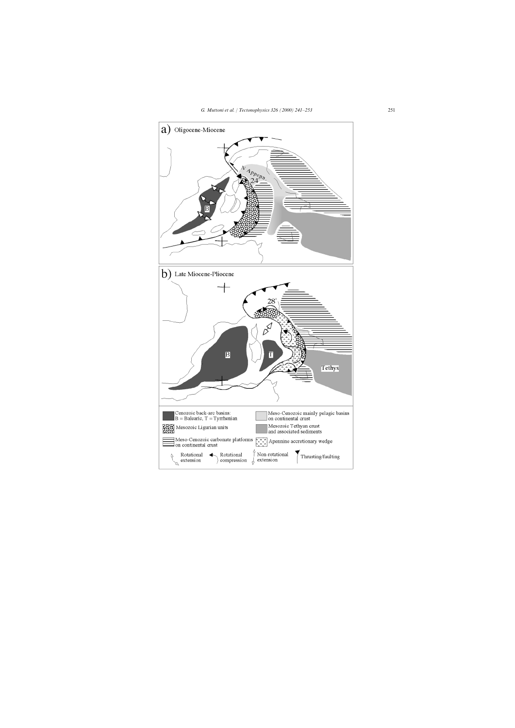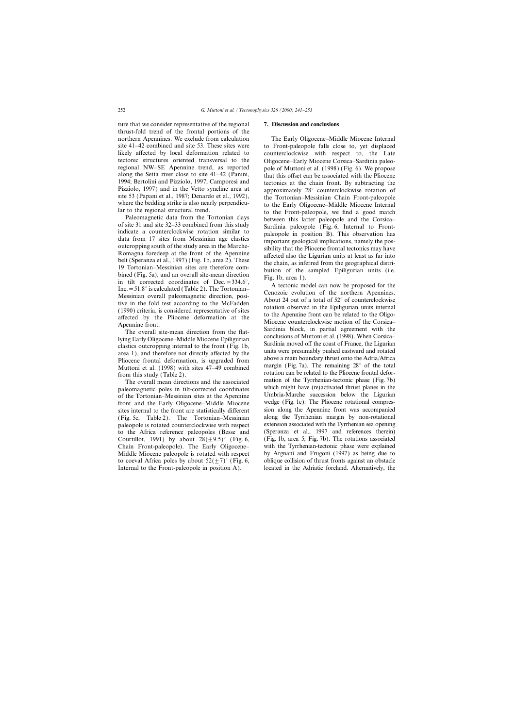ture that we consider representative of the regional **7. Discussion and conclusions** thrust-fold trend of the frontal portions of the northern Apennines. We exclude from calculation The Early Oligocene–Middle Miocene Internal site 41–42 combined and site 53. These sites were to Front-paleopole falls close to, yet displaced likely affected by local deformation related to counterclockwise with respect to, the Late likely affected by local deformation related to counterclockwise with respect to, the Late tectonic structures oriented transversal to the Oligocene–Early Miocene Corsica–Sardinia paleotectonic structures oriented transversal to the Oligocene–Early Miocene Corsica–Sardinia paleo-<br>regional NW–SE Apennine trend, as reported pole of Muttoni et al. (1998) (Fig. 6). We propose regional NW–SE Apennine trend, as reported pole of Muttoni et al. (1998) (Fig. 6). We propose along the Setta river close to site 41–42 (Panini, that this offset can be associated with the Pliocene 1994; Bertolini and Pizziolo, 1997; Camporesi and tectonics at the chain front. By subtracting the Pizziolo, 1997) and in the Vetto syncline area at annoximately  $28^\circ$  counterclockwise rotation of Pizziolo, 1997) and in the Vetto syncline area at approximately 28° counterclockwise rotation of site 53 (Papani et al., 1987; Denardo et al., 1992), the Tortonian-Messinian Chain Front-paleopole

site 53 (Papani et al., 1987; Denardo et al., 1992),<br>the Tortonian-Messinian Chain Front-paleopole<br>survere the bedding strike is also nearly perpendicu-<br>to the Erary Oligocene-Middel Miccoce Internal<br>for the Terotian-Messi

Pliocene frontal deformation, is upgraded from above a main boundary thrust onto the Adria/Africa<br>Muttoni et al. (1998) with sites 47–49 combined margin (Fig. 7a). The remaining 28° of the total

paleomagnetic poles in tilt-corrected coordinates which might have (re)activated thrust planes in the paleon of the Tortonian-Messinian sites at the Apennine Umbria-Marche succession below the Ligurian of the Tortonian–Messinian sites at the Apennine<br>
front and the Early Oligocene–Middle Miocene<br>
wedge (Fig. 1c). The Pliocene rotational compresfront and the Early Oligocene–Middle Miocene to the Africa reference paleopoles (Besse and Chain Front-paleopole). The Early Oligocene– Internal to the Front-paleopole in position A). located in the Adriatic foreland. Alternatively, the

that this offset can be associated with the Pliocene

Francem et al. (1998) with steel to 13 come metal contained to the Pliocene frontal defor-<br>from this study (Table 2).<br>The overall mean directions and the associated mation of the Tyrrhenian-tectonic phase (Fig. 7b) The overall mean directions and the associated mation of the Tyrrhenian-tectonic phase (Fig. 7b)<br>leomagnetic poles in tilt-corrected coordinates which might have (re)activated thrust planes in the sites internal to the front are statistically different sion along the Apennine front was accompanied<br>(Fig. 5c. Table 2) The Tortonian–Messinian along the Tyrrhenian margin by non-rotational (Fig. 5c, Table 2). The Tortonian–Messinian along the Tyrrhenian margin by non-rotational paleopole is rotated counterclockwise with respect extension associated with the Tyrrhenian sea opening paleopole is rotated counterclockwise with respect extension associated with the Tyrrhenian sea opening<br>to the Africa reference paleopoles (Besse and (Speranza et al., 1997 and references therein) Courtillot, 1991) by about  $28(\pm 9.5)^\circ$  (Fig. 6, (Fig. 1b, area 5; Fig. 7b). The rotations associated Chain Front-paleopole). The Early Oligocene- with the Tyrrhenian-tectonic phase were explained Middle Miocene paleopole is rotated with respect by Argnani and Frugoni (1997) as being due to to coeval Africa poles by about  $52(\pm 7)^\circ$  (Fig. 6, oblique collision of thrust fronts against an obstacle